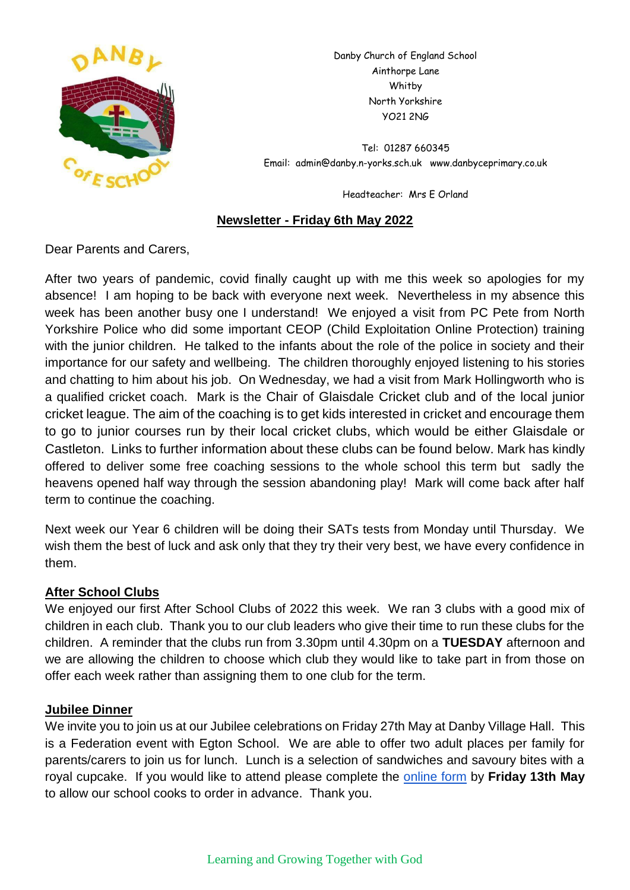

Danby Church of England School Ainthorpe Lane Whitby North Yorkshire YO21 2NG

Tel: 01287 660345 Email: admin@danby.n-yorks.sch.uk www.danbyceprimary.co.uk

Headteacher: Mrs E Orland

#### **Newsletter - Friday 6th May 2022**

Dear Parents and Carers,

After two years of pandemic, covid finally caught up with me this week so apologies for my absence! I am hoping to be back with everyone next week. Nevertheless in my absence this week has been another busy one I understand! We enjoyed a visit from PC Pete from North Yorkshire Police who did some important CEOP (Child Exploitation Online Protection) training with the junior children. He talked to the infants about the role of the police in society and their importance for our safety and wellbeing. The children thoroughly enjoyed listening to his stories and chatting to him about his job. On Wednesday, we had a visit from Mark Hollingworth who is a qualified cricket coach. Mark is the Chair of Glaisdale Cricket club and of the local junior cricket league. The aim of the coaching is to get kids interested in cricket and encourage them to go to junior courses run by their local cricket clubs, which would be either Glaisdale or Castleton. Links to further information about these clubs can be found below. Mark has kindly offered to deliver some free coaching sessions to the whole school this term but sadly the heavens opened half way through the session abandoning play! Mark will come back after half term to continue the coaching.

Next week our Year 6 children will be doing their SATs tests from Monday until Thursday. We wish them the best of luck and ask only that they try their very best, we have every confidence in them.

### **After School Clubs**

We enjoyed our first After School Clubs of 2022 this week. We ran 3 clubs with a good mix of children in each club. Thank you to our club leaders who give their time to run these clubs for the children. A reminder that the clubs run from 3.30pm until 4.30pm on a **TUESDAY** afternoon and we are allowing the children to choose which club they would like to take part in from those on offer each week rather than assigning them to one club for the term.

### **Jubilee Dinner**

We invite you to join us at our Jubilee celebrations on Friday 27th May at Danby Village Hall. This is a Federation event with Egton School. We are able to offer two adult places per family for parents/carers to join us for lunch. Lunch is a selection of sandwiches and savoury bites with a royal cupcake. If you would like to attend please complete the [online form](https://forms.gle/2gf98hnnG6fF8oH97) by **Friday 13th May** to allow our school cooks to order in advance. Thank you.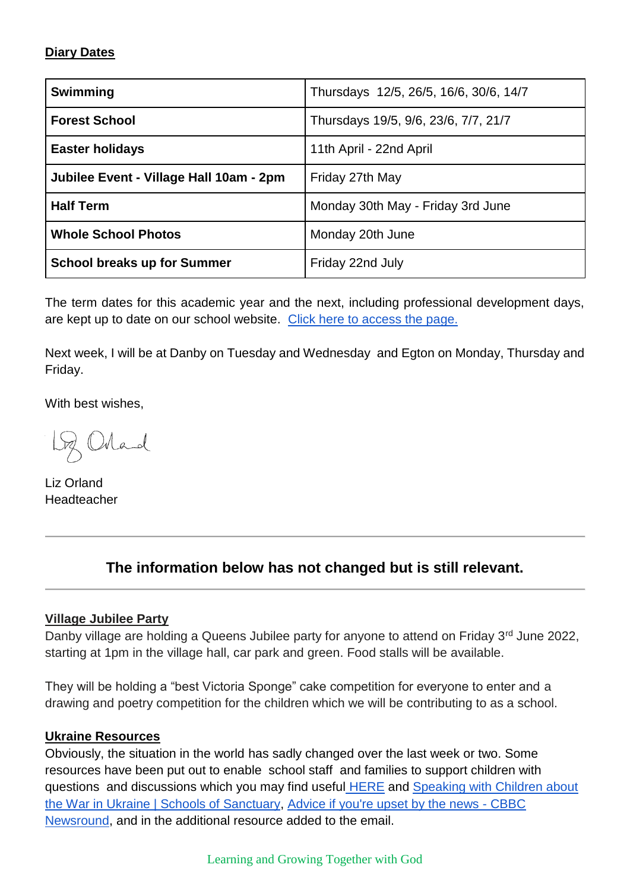### **Diary Dates**

| Swimming                                | Thursdays 12/5, 26/5, 16/6, 30/6, 14/7 |
|-----------------------------------------|----------------------------------------|
| <b>Forest School</b>                    | Thursdays 19/5, 9/6, 23/6, 7/7, 21/7   |
| <b>Easter holidays</b>                  | 11th April - 22nd April                |
| Jubilee Event - Village Hall 10am - 2pm | Friday 27th May                        |
| <b>Half Term</b>                        | Monday 30th May - Friday 3rd June      |
| <b>Whole School Photos</b>              | Monday 20th June                       |
| <b>School breaks up for Summer</b>      | Friday 22nd July                       |

The term dates for this academic year and the next, including professional development days, are kept up to date on our school website. [Click here to access the page.](https://www.danbyceprimary.co.uk/information-and-newsletters/term-dates/)

Next week, I will be at Danby on Tuesday and Wednesday and Egton on Monday, Thursday and Friday.

With best wishes,

Loz Orland

Liz Orland Headteacher

# **The information below has not changed but is still relevant.**

### **Village Jubilee Party**

Danby village are holding a Queens Jubilee party for anyone to attend on Friday 3<sup>rd</sup> June 2022, starting at 1pm in the village hall, car park and green. Food stalls will be available.

They will be holding a "best Victoria Sponge" cake competition for everyone to enter and a drawing and poetry competition for the children which we will be contributing to as a school.

### **Ukraine Resources**

Obviously, the situation in the world has sadly changed over the last week or two. Some resources have been put out to enable school staff and families to support children with questions and discussions which you may find useful **[HERE](https://educationhub.blog.gov.uk/2022/02/25/help-for-teachers-and-families-to-talk-to-pupils-about-russias-invasion-of-ukraine-and-how-to-help-them-avoid-misinformation/)** and **Speaking with Children about** [the War in Ukraine | Schools of Sanctuary,](https://schools.cityofsanctuary.org/2022/02/28/speaking-with-children-about-the-war-in-ukraine) [Advice if you're upset by the news -](https://www.bbc.co.uk/newsround/13865002) CBBC [Newsround,](https://www.bbc.co.uk/newsround/13865002) and in the additional resource added to the email.

Learning and Growing Together with God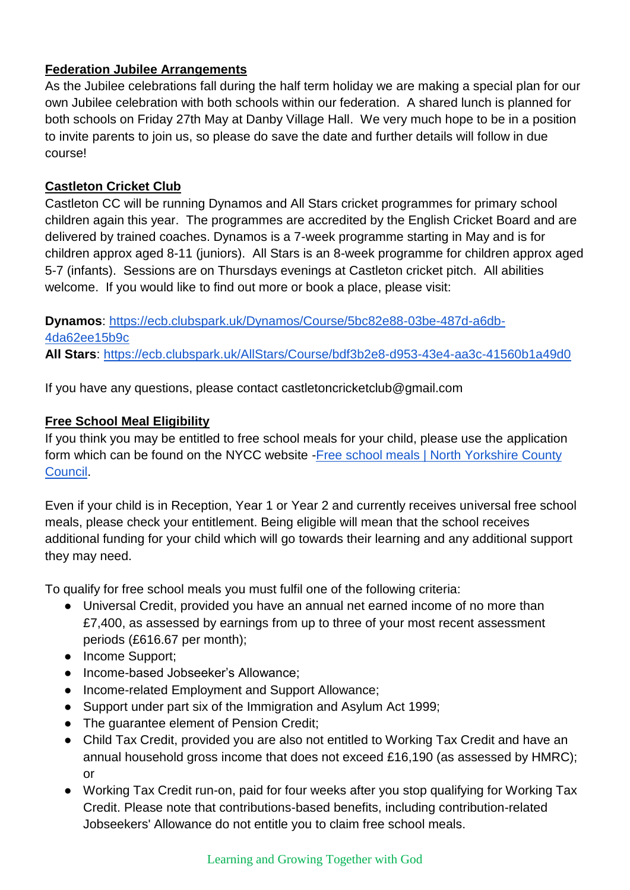## **Federation Jubilee Arrangements**

As the Jubilee celebrations fall during the half term holiday we are making a special plan for our own Jubilee celebration with both schools within our federation. A shared lunch is planned for both schools on Friday 27th May at Danby Village Hall. We very much hope to be in a position to invite parents to join us, so please do save the date and further details will follow in due course!

### **Castleton Cricket Club**

Castleton CC will be running Dynamos and All Stars cricket programmes for primary school children again this year. The programmes are accredited by the English Cricket Board and are delivered by trained coaches. Dynamos is a 7-week programme starting in May and is for children approx aged 8-11 (juniors). All Stars is an 8-week programme for children approx aged 5-7 (infants). Sessions are on Thursdays evenings at Castleton cricket pitch. All abilities welcome. If you would like to find out more or book a place, please visit:

**Dynamos**: [https://ecb.clubspark.uk/Dynamos/Course/5bc82e88-03be-487d-a6db-](https://ecb.clubspark.uk/Dynamos/Course/5bc82e88-03be-487d-a6db-4da62ee15b9c)[4da62ee15b9c](https://ecb.clubspark.uk/Dynamos/Course/5bc82e88-03be-487d-a6db-4da62ee15b9c) **All Stars**:<https://ecb.clubspark.uk/AllStars/Course/bdf3b2e8-d953-43e4-aa3c-41560b1a49d0>

If you have any questions, please contact castletoncricketclub@gmail.com

### **Free School Meal Eligibility**

If you think you may be entitled to free school meals for your child, please use the application form which can be found on the NYCC website -Free school meals | North Yorkshire County [Council.](https://www.northyorks.gov.uk/free-school-meals)

Even if your child is in Reception, Year 1 or Year 2 and currently receives universal free school meals, please check your entitlement. Being eligible will mean that the school receives additional funding for your child which will go towards their learning and any additional support they may need.

To qualify for free school meals you must fulfil one of the following criteria:

- Universal Credit, provided you have an annual net earned income of no more than £7,400, as assessed by earnings from up to three of your most recent assessment periods (£616.67 per month);
- Income Support;
- Income-based Jobseeker's Allowance;
- Income-related Employment and Support Allowance;
- Support under part six of the Immigration and Asylum Act 1999;
- The guarantee element of Pension Credit;
- Child Tax Credit, provided you are also not entitled to Working Tax Credit and have an annual household gross income that does not exceed £16,190 (as assessed by HMRC); or
- Working Tax Credit run-on, paid for four weeks after you stop qualifying for Working Tax Credit. Please note that contributions-based benefits, including contribution-related Jobseekers' Allowance do not entitle you to claim free school meals.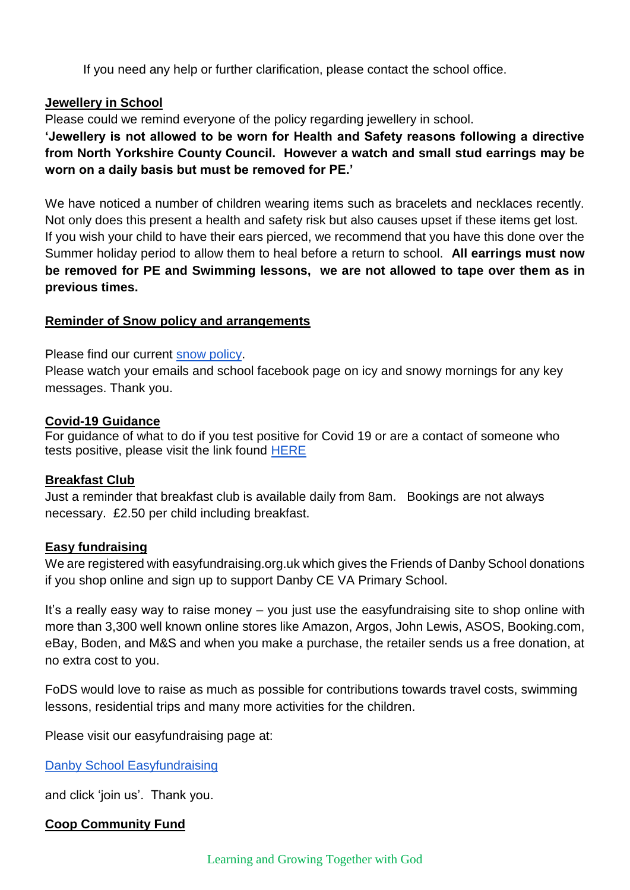If you need any help or further clarification, please contact the school office.

### **Jewellery in School**

Please could we remind everyone of the policy regarding jewellery in school.

**'Jewellery is not allowed to be worn for Health and Safety reasons following a directive from North Yorkshire County Council. However a watch and small stud earrings may be worn on a daily basis but must be removed for PE.'**

We have noticed a number of children wearing items such as bracelets and necklaces recently. Not only does this present a health and safety risk but also causes upset if these items get lost. If you wish your child to have their ears pierced, we recommend that you have this done over the Summer holiday period to allow them to heal before a return to school. **All earrings must now be removed for PE and Swimming lessons, we are not allowed to tape over them as in previous times.**

### **Reminder of Snow policy and arrangements**

Please find our current [snow policy.](https://drive.google.com/file/d/1PQF-KS64Fiqqa-jJlT9mfUV8MedCZC4v/view?usp=sharing)

Please watch your emails and school facebook page on icy and snowy mornings for any key messages. Thank you.

### **Covid-19 Guidance**

For guidance of what to do if you test positive for Covid 19 or are a contact of someone who tests positive, please visit the link found [HERE](https://www.gov.uk/government/publications/covid-19-people-with-covid-19-and-their-contacts/covid-19-people-with-covid-19-and-their-contacts)

### **Breakfast Club**

Just a reminder that breakfast club is available daily from 8am. Bookings are not always necessary. £2.50 per child including breakfast.

### **Easy fundraising**

We are registered with easyfundraising.org.uk which gives the Friends of Danby School donations if you shop online and sign up to support Danby CE VA Primary School.

It's a really easy way to raise money – you just use the easyfundraising site to shop online with more than 3,300 well known online stores like Amazon, Argos, John Lewis, ASOS, Booking.com, eBay, Boden, and M&S and when you make a purchase, the retailer sends us a free donation, at no extra cost to you.

FoDS would love to raise as much as possible for contributions towards travel costs, swimming lessons, residential trips and many more activities for the children.

Please visit our easyfundraising page at:

[Danby School Easyfundraising](https://www.easyfundraising.org.uk/causes/danbysch/?q=Danby%20School&cat=cause-autosuggest)

and click 'join us'. Thank you.

### **Coop Community Fund**